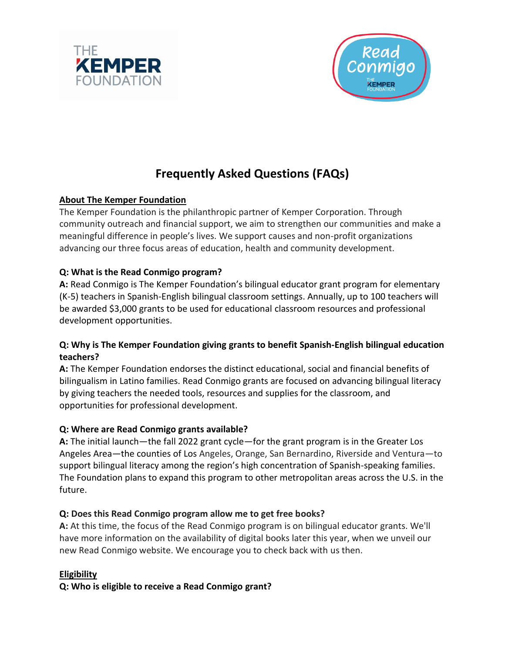



# **Frequently Asked Questions (FAQs)**

## **About The Kemper Foundation**

The Kemper Foundation is the philanthropic partner of Kemper Corporation. Through community outreach and financial support, we aim to strengthen our communities and make a meaningful difference in people's lives. We support causes and non-profit organizations advancing our three focus areas of education, health and community development.

## **Q: What is the Read Conmigo program?**

**A:** Read Conmigo is The Kemper Foundation's bilingual educator grant program for elementary (K-5) teachers in Spanish-English bilingual classroom settings. Annually, up to 100 teachers will be awarded \$3,000 grants to be used for educational classroom resources and professional development opportunities.

## **Q: Why is The Kemper Foundation giving grants to benefit Spanish-English bilingual education teachers?**

**A:** The Kemper Foundation endorses the distinct educational, social and financial benefits of bilingualism in Latino families. Read Conmigo grants are focused on advancing bilingual literacy by giving teachers the needed tools, resources and supplies for the classroom, and opportunities for professional development.

## **Q: Where are Read Conmigo grants available?**

**A:** The initial launch—the fall 2022 grant cycle—for the grant program is in the Greater Los Angeles Area—the counties of Los Angeles, Orange, San Bernardino, Riverside and Ventura—to support bilingual literacy among the region's high concentration of Spanish-speaking families. The Foundation plans to expand this program to other metropolitan areas across the U.S. in the future.

## **Q: Does this Read Conmigo program allow me to get free books?**

**A:** At this time, the focus of the Read Conmigo program is on bilingual educator grants. We'll have more information on the availability of digital books later this year, when we unveil our new Read Conmigo website. We encourage you to check back with us then.

## **Eligibility**

**Q: Who is eligible to receive a Read Conmigo grant?**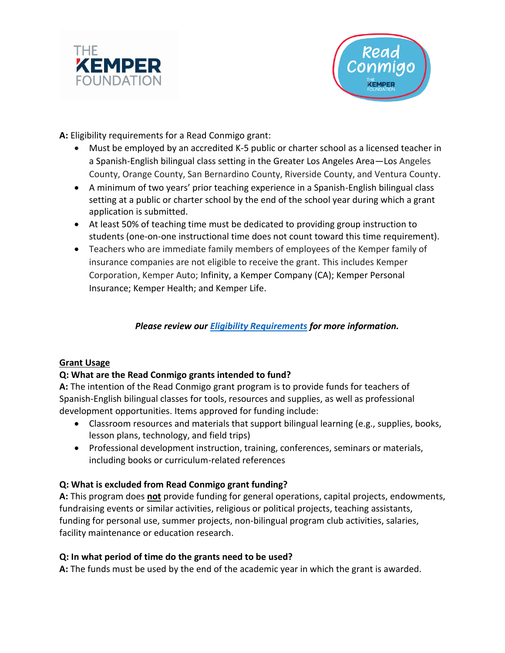



**A:** Eligibility requirements for a Read Conmigo grant:

- Must be employed by an accredited K-5 public or charter school as a licensed teacher in a Spanish-English bilingual class setting in the Greater Los Angeles Area—Los Angeles County, Orange County, San Bernardino County, Riverside County, and Ventura County.
- A minimum of two years' prior teaching experience in a Spanish-English bilingual class setting at a public or charter school by the end of the school year during which a grant application is submitted.
- At least 50% of teaching time must be dedicated to providing group instruction to students (one-on-one instructional time does not count toward this time requirement).
- Teachers who are immediate family members of employees of the Kemper family of insurance companies are not eligible to receive the grant. This includes Kemper Corporation, Kemper Auto; Infinity, a Kemper Company (CA); Kemper Personal Insurance; Kemper Health; and Kemper Life.

*Please review our [Eligibility Requirements](https://www.thekemperfoundation.org/wp-content/uploads/2022/06/RC-Eligibility-Requirements-06.21.pdf) for more information.*

#### **Grant Usage**

#### **Q: What are the Read Conmigo grants intended to fund?**

**A:** The intention of the Read Conmigo grant program is to provide funds for teachers of Spanish-English bilingual classes for tools, resources and supplies, as well as professional development opportunities. Items approved for funding include:

- Classroom resources and materials that support bilingual learning (e.g., supplies, books, lesson plans, technology, and field trips)
- Professional development instruction, training, conferences, seminars or materials, including books or curriculum-related references

#### **Q: What is excluded from Read Conmigo grant funding?**

**A:** This program does **not** provide funding for general operations, capital projects, endowments, fundraising events or similar activities, religious or political projects, teaching assistants, funding for personal use, summer projects, non-bilingual program club activities, salaries, facility maintenance or education research.

#### **Q: In what period of time do the grants need to be used?**

**A:** The funds must be used by the end of the academic year in which the grant is awarded.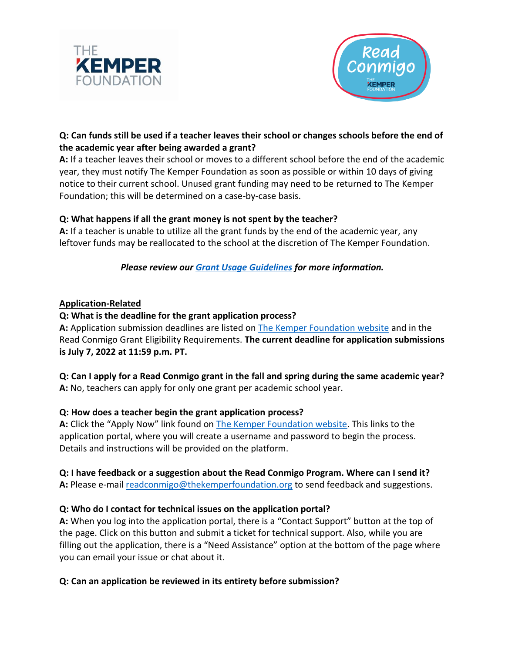



## **Q: Can funds still be used if a teacher leaves their school or changes schools before the end of the academic year after being awarded a grant?**

**A:** If a teacher leaves their school or moves to a different school before the end of the academic year, they must notify The Kemper Foundation as soon as possible or within 10 days of giving notice to their current school. Unused grant funding may need to be returned to The Kemper Foundation; this will be determined on a case-by-case basis.

#### **Q: What happens if all the grant money is not spent by the teacher?**

**A:** If a teacher is unable to utilize all the grant funds by the end of the academic year, any leftover funds may be reallocated to the school at the discretion of The Kemper Foundation.

*Please review our [Grant Usage Guidelines](https://www.thekemperfoundation.org/wp-content/uploads/2022/05/RC-Grant-Usage-Guidelines-05.24.22-1.pdf) for more information.*

#### **Application-Related**

#### **Q: What is the deadline for the grant application process?**

**A:** Application submission deadlines are listed on [The Kemper Foundation website](http://thekemperfoundation.org/read-conmigo) and in the Read Conmigo Grant Eligibility Requirements. **The current deadline for application submissions is July 7, 2022 at 11:59 p.m. PT.**

**Q: Can I apply for a Read Conmigo grant in the fall and spring during the same academic year? A:** No, teachers can apply for only one grant per academic school year.

#### **Q: How does a teacher begin the grant application process?**

**A:** Click the "Apply Now" link found on [The Kemper Foundation website.](http://www.thekemperfoundation.org/read-conmigo) This links to the application portal, where you will create a username and password to begin the process. Details and instructions will be provided on the platform.

#### **Q: I have feedback or a suggestion about the Read Conmigo Program. Where can I send it?**

A: Please e-mail [readconmigo@thekemperfoundation.org](mailto:readconmigo@thekemperfoundation.org) to send feedback and suggestions.

#### **Q: Who do I contact for technical issues on the application portal?**

**A:** When you log into the application portal, there is a "Contact Support" button at the top of the page. Click on this button and submit a ticket for technical support. Also, while you are filling out the application, there is a "Need Assistance" option at the bottom of the page where you can email your issue or chat about it.

#### **Q: Can an application be reviewed in its entirety before submission?**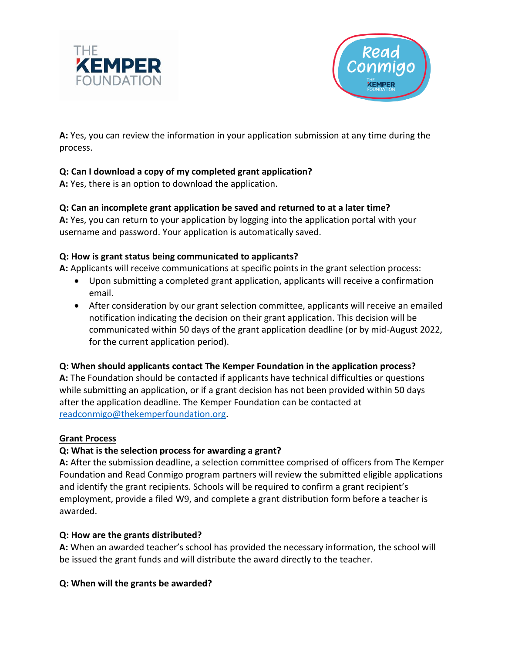



**A:** Yes, you can review the information in your application submission at any time during the process.

# **Q: Can I download a copy of my completed grant application?**

**A:** Yes, there is an option to download the application.

## **Q: Can an incomplete grant application be saved and returned to at a later time?**

**A:** Yes, you can return to your application by logging into the application portal with your username and password. Your application is automatically saved.

## **Q: How is grant status being communicated to applicants?**

**A:** Applicants will receive communications at specific points in the grant selection process:

- Upon submitting a completed grant application, applicants will receive a confirmation email.
- After consideration by our grant selection committee, applicants will receive an emailed notification indicating the decision on their grant application. This decision will be communicated within 50 days of the grant application deadline (or by mid-August 2022, for the current application period).

## **Q: When should applicants contact The Kemper Foundation in the application process?**

**A:** The Foundation should be contacted if applicants have technical difficulties or questions while submitting an application, or if a grant decision has not been provided within 50 days after the application deadline. The Kemper Foundation can be contacted at [readconmigo@thekemperfoundation.org.](mailto:readconmigo@thekemperfoundation.org)

#### **Grant Process**

## **Q: What is the selection process for awarding a grant?**

**A:** After the submission deadline, a selection committee comprised of officers from The Kemper Foundation and Read Conmigo program partners will review the submitted eligible applications and identify the grant recipients. Schools will be required to confirm a grant recipient's employment, provide a filed W9, and complete a grant distribution form before a teacher is awarded.

## **Q: How are the grants distributed?**

**A:** When an awarded teacher's school has provided the necessary information, the school will be issued the grant funds and will distribute the award directly to the teacher.

## **Q: When will the grants be awarded?**